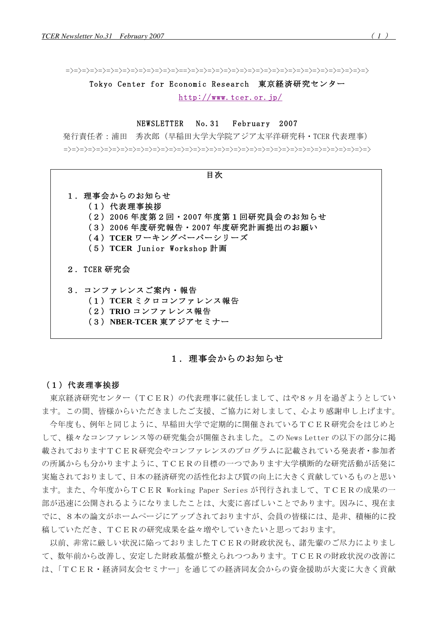Tokyo Center for Economic Research 東京経済研究センター  $http://www.tcer. or.ip/$ 

#### NEWSLETTER  $No. 31$ February 2007

発行責任者:浦田 秀次郎 (早稲田大学大学院アジア太平洋研究科・TCER代表理事) 



# 1. 理事会からのお知らせ

### (1) 代表理事挨拶

東京経済研究センター (TCER) の代表理事に就任しまして、はや8ヶ月を過ぎようとしてい ます。この間、皆様からいただきましたご支援、ご協力に対しまして、心より感謝申し上げます。

今年度も、例年と同じように、早稲田大学で定期的に開催されているTCER研究会をはじめと して、様々なコンファレンス等の研究集会が開催されました。この News Letter の以下の部分に掲 載されておりますTCER研究会やコンファレンスのプログラムに記載されている発表者·参加者 の所属からも分かりますように、TCERの目標の一つであります大学横断的な研究活動が活発に 実施されておりまして、日本の経済研究の活性化および質の向上に大きく貢献しているものと思い ます。また、今年度からTCER Working Paper Series が刊行されまして、TCERの成果の一 部が迅速に公開されるようになりましたことは、大変に喜ばしいことであります。因みに、現在ま でに、8本の論文がホームページにアップされておりますが、会員の皆様には、是非、積極的に投 稿していただき、TCERの研究成果を益々増やしていきたいと思っております。

以前、非常に厳しい状況に陥っておりましたTCERの財政状況も、諸先輩のご尽力によりまし て、数年前から改善し、安定した財政基盤が整えられつつあります。TCERの財政状況の改善に は、「TCER·経済同友会セミナー」を通じての経済同友会からの資金援助が大変に大きく貢献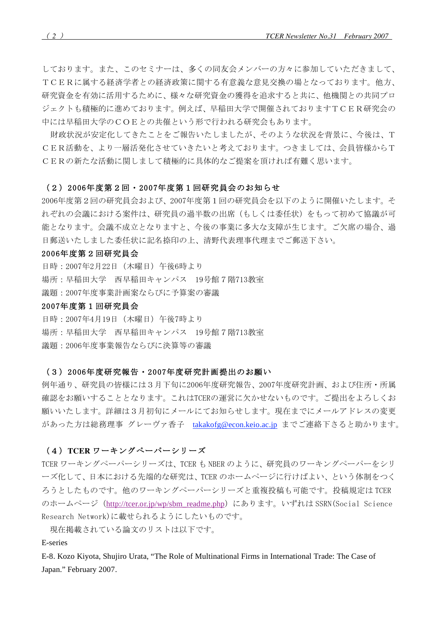しております。また、このセミナーは、多くの同友会メンバーの方々に参加していただきまして、 TCERに属する経済学者との経済政策に関する有意義な意見交換の場となっております。他方、 研究資金を有効に活用するために、様々な研究資金の獲得を追求すると共に、他機関との共同プロ ジェクトも積極的に進めております。例えば、早稲田大学で開催されておりますTCER研究会の 中には早稲田大学のCOEとの共催という形で行われる研究会もあります。

財政状況が安定化してきたことをご報告いたしましたが、そのような状況を背景に、今後は、T CER活動を、より一層活発化させていきたいと考えております。つきましては、会員皆様からT CERの新たな活動に関しまして積極的に具体的なご提案を頂ければ有難く思います。

### (2) 2006年度第2回・2007年度第1回研究員会のお知らせ

2006年度第2回の研究員会および、2007年度第1回の研究員会を以下のように開催いたします。そ れぞれの会議における案件は、研究員の過半数の出席(もしくは委任状)をもって初めて協議が可 能となります。会議不成立となりますと、今後の事業に多大な支障が生じます。ご欠席の場合、過 日郵送いたしました委任状に記名捺印の上、清野代表理事代理までご郵送下さい。

### 2006年度第2回研究員会

日時: 2007年2月22日 (木曜日) 午後6時より 場所:早稲田大学 西早稲田キャンパス 19号館7階713教室 議題: 2007年度事業計画案ならびに予算案の審議

### 2007年度第1回研究員会

日時: 2007年4月19日 (木曜日) 午後7時より 場所:早稲田大学 西早稲田キャンパス 19号館7階713教室 議題: 2006年度事業報告ならびに決算等の審議

### (3) 2006年度研究報告·2007年度研究計画提出のお願い

例年通り、研究員の皆様には3月下旬に2006年度研究報告、2007年度研究計画、および住所・所属 確認をお願いすることとなります。これはTCERの運営に欠かせないものです。ご提出をよろしくお 願いいたします。詳細は3月初旬にメールにてお知らせします。現在までにメールアドレスの変更 があった方は総務理事 グレーヴァ香子 takakofg@econ.keio.ac.jp までご連絡下さると助かります。

# (4) TCER ワーキングペーパーシリーズ

TCER ワーキングペーパーシリーズは、TCER も NBER のように、研究員のワーキングペーパーをシリ ーズ化して、日本における先端的な研究は、TCERのホームページに行けばよい、という体制をつく ろうとしたものです。他のワーキングペーパーシリーズと重複投稿も可能です。投稿規定はTCER のホームページ (http://tcer.or.jp/wp/sbm\_readme.php) にあります。いずれは SSRN (Social Science Research Network)に載せられるようにしたいものです。

現在掲載されている論文のリストは以下です。

## E-series

E-8. Kozo Kiyota, Shujiro Urata, "The Role of Multinational Firms in International Trade: The Case of Japan." February 2007.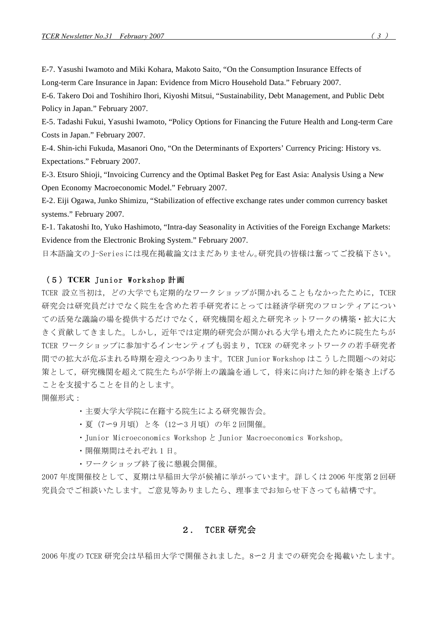E-7. Yasushi Iwamoto and Miki Kohara, Makoto Saito, "On the Consumption Insurance Effects of Long-term Care Insurance in Japan: Evidence from Micro Household Data." February 2007.

E-6. Takero Doi and Toshihiro Ihori, Kiyoshi Mitsui, "Sustainability, Debt Management, and Public Debt Policy in Japan." February 2007.

E-5. Tadashi Fukui, Yasushi Iwamoto, "Policy Options for Financing the Future Health and Long-term Care Costs in Japan." February 2007.

E-4. Shin-ichi Fukuda, Masanori Ono, "On the Determinants of Exporters' Currency Pricing: History vs. Expectations." February 2007.

E-3. Etsuro Shioji, "Invoicing Currency and the Optimal Basket Peg for East Asia: Analysis Using a New Open Economy Macroeconomic Model." February 2007.

E-2. Eiji Ogawa, Junko Shimizu, "Stabilization of effective exchange rates under common currency basket systems." February 2007.

E-1. Takatoshi Ito, Yuko Hashimoto, "Intra-day Seasonality in Activities of the Foreign Exchange Markets: Evidence from the Electronic Broking System." February 2007.

日本語論文のJ-Seriesには現在掲載論文はまだありません。研究員の皆様は奮ってご投稿下さい。

# (5) TCER Junior Workshop 計画

TCER 設立当初は、どの大学でも定期的なワークショップが開かれることもなかったために、TCER 研究会は研究員だけでなく院生を含めた若手研究者にとっては経済学研究のフロンティアについ ての活発な議論の場を提供するだけでなく、研究機関を超えた研究ネットワークの構築・拡大に大 きく貢献してきました。しかし、近年では定期的研究会が開かれる大学も増えたために院生たちが TCER ワークショップに参加するインセンティブも弱まり、TCER の研究ネットワークの若手研究者 間での拡大が危ぶまれる時期を迎えつつあります。TCER Junior Workshop はこうした問題への対応 策として、研究機関を超えて院生たちが学術上の議論を通して、将来に向けた知的絆を築き上げる ことを支援することを目的とします。

開催形式:

・主要大学大学院に在籍する院生による研究報告会。

- ・夏 (7ー9月頃) と冬 (12ー3月頃) の年2回開催。
- Junior Microeconomics Workshop と Junior Macroeconomics Workshop。
- ・開催期間はそれぞれ1日。
- ワークショップ終了後に懇親会開催。

2007年度開催校として、夏期は早稲田大学が候補に挙がっています。詳しくは2006年度第2回研 究員会でご相談いたします。ご意見等ありましたら、理事までお知らせ下さっても結構です。

### TCER 研究会  $2.$

2006年度の TCER 研究会は早稲田大学で開催されました。8ー2月までの研究会を掲載いたします。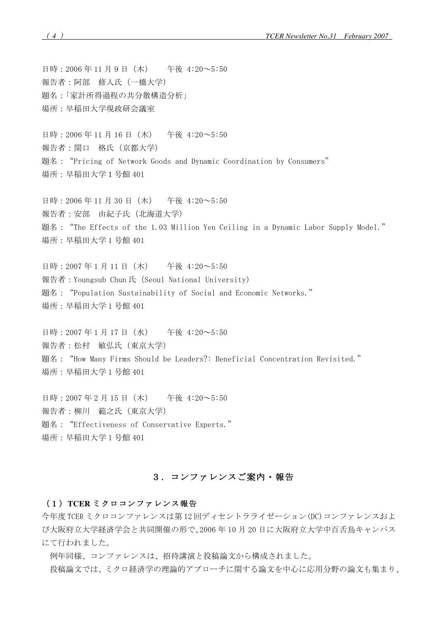日時: 2006年11月9日 (木) 午後 4:20~5:50 報告者:阿部 修人氏 (一橋大学) 題名:「家計所得過程の共分散構造分析」 場所:早稲田大学現政研会議室

日時: 2006年11月16日 (木) 午後 4:20~5:50 報告者:関口 格氏 (京都大学) 題名: "Pricing of Network Goods and Dynamic Coordination by Consumers" 場所:早稲田大学1号館401

日時: 2006年11月30日 (木) 午後 4:20~5:50  **報告者: 安部 由紀子氏 (北海道大学)** 題名: "The Effects of the 1.03 Million Yen Ceiling in a Dynamic Labor Supply Model." 場所:早稲田大学1号館401

日時: 2007年1月11日 (木) 午後 4:20~5:50 報告者: Youngsub Chun氏 (Seoul National University) 顥名:"Population Sustainability of Social and Economic Networks." 場所: 早稲田大学1号館 401

日時: 2007年1月17日 (水) 午後 4:20~5:50 報告者:松村 敏弘氏 (東京大学) 顥名: "How Many Firms Should be Leaders?: Beneficial Concentration Revisited." 場所:早稲田大学1号館401

日時: 2007年2月15日 (木) 午後 4:20~5:50 報告者:柳川 範之氏 (東京大学) 題名: "Effectiveness of Conservative Experts." 場所:早稲田大学1号館401

# 3. コンファレンスご案内・報告

### (1) TCER ミクロコンファレンス報告

今年度 TCER ミクロコンファレンスは第12 回ディセントラライゼーション(DC) コンファレンスおよ び大阪府立大学経済学会と共同開催の形で、2006年10月20日に大阪府立大学中百舌鳥キャンパス にて行われました。

例年同様、コンファレンスは、招待講演と投稿論文から構成されました。

投稿論文では、ミクロ経済学の理論的アプローチに関する論文を中心に応用分野の論文も集まり、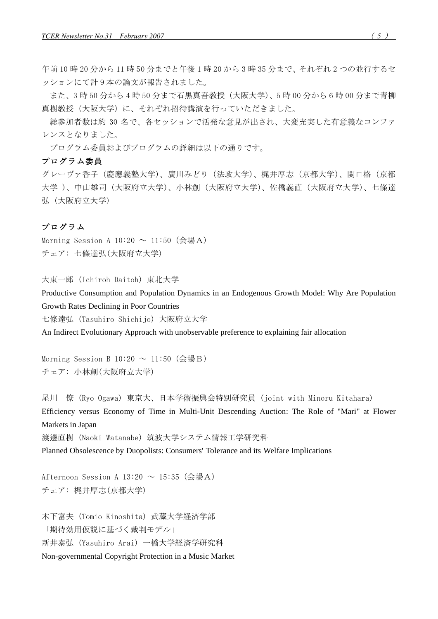午前10時20分から11時50分までと午後1時20から3時35分まで、それぞれ2つの並行するセ ッションにて計9本の論文が報告されました。

また、3時50分から4時50分まで石黒真吾教授(大阪大学)、5時00分から6時00分まで青柳 真樹教授(大阪大学)に、それぞれ招待講演を行っていただきました。

総参加者数は約30名で、各セッションで活発な意見が出され、大変充実した有意義なコンファ レンスとなりました。

プログラム委員およびプログラムの詳細は以下の通りです。

### プログラム委員

グレーヴァ香子(慶應義塾大学)、廣川みどり(法政大学)、梶井厚志(京都大学)、関口格(京都 大学 )、中山雄司(大阪府立大学)、小林創(大阪府立大学)、佐橋義直(大阪府立大学)、七條達 弘(大阪府立大学)

# プログラム

Morning Session A  $10:20 \sim 11:50$  (会場A) チェア: 七條達弘 (大阪府立大学)

大東一郎 (Ichiroh Daitoh) 東北大学

Productive Consumption and Population Dynamics in an Endogenous Growth Model: Why Are Population Growth Rates Declining in Poor Countries

七條達弘 (Tasuhiro Shichijo) 大阪府立大学

An Indirect Evolutionary Approach with unobservable preference to explaining fair allocation

Morning Session B  $10:20 \sim 11:50$  (会場B) チェア: 小林創(大阪府立大学)

尾川 僚 (Ryo Ogawa) 東京大、日本学術振興会特別研究員 (joint with Minoru Kitahara) Efficiency versus Economy of Time in Multi-Unit Descending Auction: The Role of "Mari" at Flower Markets in Japan 渡邊直樹 (Naoki Watanabe) 筑波大学システム情報工学研究科

Planned Obsolescence by Duopolists: Consumers' Tolerance and its Welfare Implications

Afternoon Session A  $13:20 \sim 15:35$  (会場A) チェア: 梶井厚志(京都大学)

木下富夫 (Tomio Kinoshita) 武蔵大学経済学部 「期待効用仮説に基づく裁判モデル」 新井泰弘 (Yasuhiro Arai) 一橋大学経済学研究科 Non-governmental Copyright Protection in a Music Market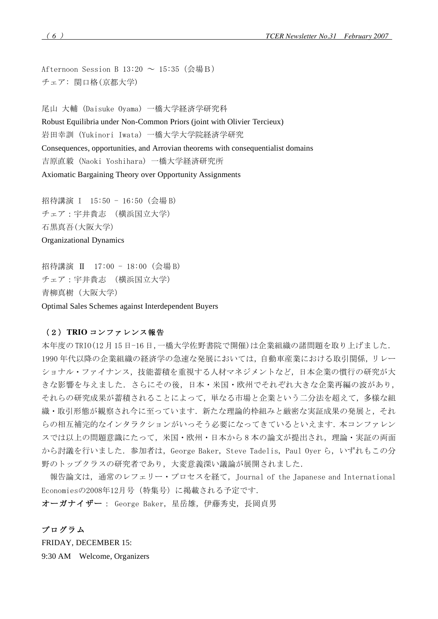Afternoon Session B 13:20 ~ 15:35 (会場B) チェア: 関口格(京都大学)

尾山 大輔 (Daisuke Ovama) 一橋大学経済学研究科 Robust Equilibria under Non-Common Priors (joint with Olivier Tercieux) 岩田幸訓 (Yukinori Iwata) 一橋大学大学院経済学研究 Consequences, opportunities, and Arrovian theorems with consequentialist domains 吉原直毅 (Naoki Yoshihara) 一橋大学経済研究所 Axiomatic Bargaining Theory over Opportunity Assignments

招待講演 I 15:50 - 16:50 (会場 B) チェア: 宇井貴志 (構浜国立大学) 石黒真吾(大阪大学) **Organizational Dynamics** 

招待講演 Ⅱ 17:00 - 18:00 (会場 B) チェア: 宇井貴志 (横浜国立大学) 青柳真樹 (大阪大学)

Optimal Sales Schemes against Interdependent Buyers

# (2) TRIO コンファレンス報告

本年度のTRI0(12月15日-16日,一橋大学佐野書院で開催)は企業組織の諸問題を取り上げました. 1990年代以降の企業組織の経済学の急速な発展においては、自動車産業における取引関係、リレー ショナル・ファイナンス、技能蓄積を重視する人材マネジメントなど、日本企業の慣行の研究が大 きな影響を与えました. さらにその後, 日本・米国・欧州でそれぞれ大きな企業再編の波があり, それらの研究成果が蓄積されることによって、単なる市場と企業という二分法を超えて、多様な組 織・取引形態が観察され今に至っています.新たな理論的枠組みと厳密な実証成果の発展と,それ らの相互補完的なインタラクションがいっそう必要になってきているといえます. 本コンファレン スでは以上の問題意識にたって、米国·欧州·日本から8本の論文が提出され、理論·実証の両面 から討議を行いました. 参加者は、George Baker, Steve Tadelis, Paul Oyer ら、いずれもこの分 野のトップクラスの研究者であり、大変意義深い議論が展開されました.

報告論文は、通常のレフェリー・プロセスを経て、Journal of the Japanese and International Economiesの2008年12月号(特集号)に掲載される予定です.

オーガナイザー: George Baker, 星岳雄, 伊藤秀史, 長岡貞男

プログラム FRIDAY, DECEMBER 15: 9:30 AM Welcome, Organizers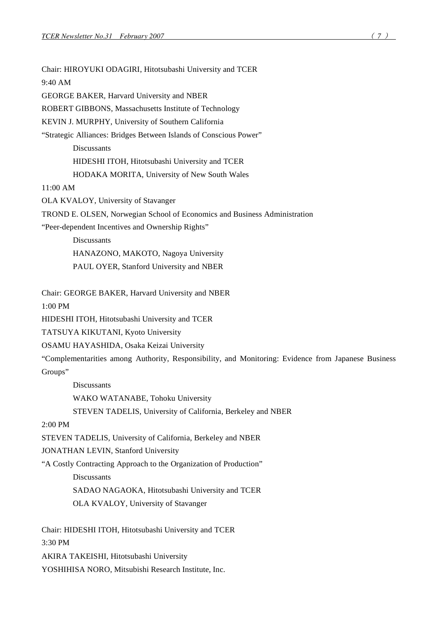Chair: HIROYUKI ODAGIRI, Hitotsubashi University and TCER 9:40 AM GEORGE BAKER, Harvard University and NBER ROBERT GIBBONS, Massachusetts Institute of Technology KEVIN J. MURPHY, University of Southern California "Strategic Alliances: Bridges Between Islands of Conscious Power" **Discussants** HIDESHI ITOH, Hitotsubashi University and TCER HODAKA MORITA, University of New South Wales 11:00 AM OLA KVALOY, University of Stavanger TROND E. OLSEN, Norwegian School of Economics and Business Administration "Peer-dependent Incentives and Ownership Rights" **Discussants** HANAZONO, MAKOTO, Nagoya University PAUL OYER, Stanford University and NBER Chair: GEORGE BAKER, Harvard University and NBER 1:00 PM HIDESHI ITOH, Hitotsubashi University and TCER TATSUYA KIKUTANI, Kyoto University OSAMU HAYASHIDA, Osaka Keizai University "Complementarities among Authority, Responsibility, and Monitoring: Evidence from Japanese Business Groups" Discussants WAKO WATANABE, Tohoku University STEVEN TADELIS, University of California, Berkeley and NBER 2:00 PM STEVEN TADELIS, University of California, Berkeley and NBER JONATHAN LEVIN, Stanford University "A Costly Contracting Approach to the Organization of Production" **Discussants** SADAO NAGAOKA, Hitotsubashi University and TCER OLA KVALOY, University of Stavanger Chair: HIDESHI ITOH, Hitotsubashi University and TCER 3:30 PM AKIRA TAKEISHI, Hitotsubashi University

YOSHIHISA NORO, Mitsubishi Research Institute, Inc.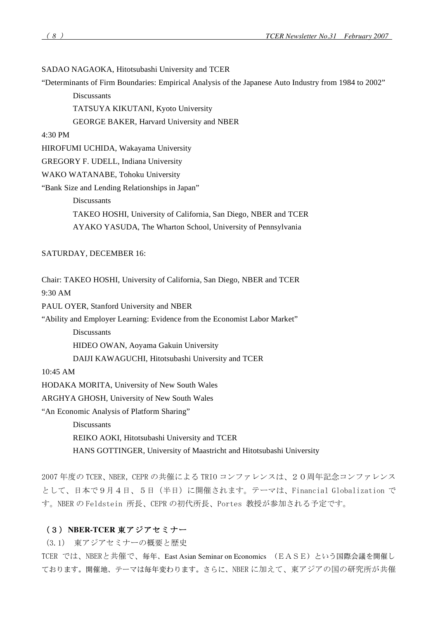# SADAO NAGAOKA, Hitotsubashi University and TCER

"Determinants of Firm Boundaries: Empirical Analysis of the Japanese Auto Industry from 1984 to 2002"

**Discussants** 

TATSUYA KIKUTANI, Kyoto University

GEORGE BAKER, Harvard University and NBER

4:30 PM

HIROFUMI UCHIDA, Wakayama University

GREGORY F. UDELL, Indiana University

WAKO WATANABE, Tohoku University

"Bank Size and Lending Relationships in Japan"

Discussants

TAKEO HOSHI, University of California, San Diego, NBER and TCER AYAKO YASUDA, The Wharton School, University of Pennsylvania

### SATURDAY, DECEMBER 16:

Chair: TAKEO HOSHI, University of California, San Diego, NBER and TCER

9:30 AM

PAUL OYER, Stanford University and NBER

"Ability and Employer Learning: Evidence from the Economist Labor Market"

**Discussants** 

HIDEO OWAN, Aoyama Gakuin University

DAIJI KAWAGUCHI, Hitotsubashi University and TCER

10:45 AM

HODAKA MORITA, University of New South Wales

ARGHYA GHOSH, University of New South Wales

"An Economic Analysis of Platform Sharing"

**Discussants** 

REIKO AOKI, Hitotsubashi University and TCER

HANS GOTTINGER, University of Maastricht and Hitotsubashi University

2007 年度の TCER、NBER,CEPR の共催による TRIO コンファレンスは、2 0 周年記念コンファレンス として、日本で9月4日、5日 (半日) に開催されます。テーマは、Financial Globalization で す。NBER の Feldstein 所長、CEPR の初代所長、Portes 教授が参加される予定です。

# (3) NBER-TCER 東アジアセミナー

(3.1) 東アジアセミナーの概要と歴史

TCER では、NBERと共催で、毎年、East Asian Seminar on Economics (EASE)という国際会議を開催し ております。開催地、テーマは毎年変わります。さらに、NBER に加えて、東アジアの国の研究所が共催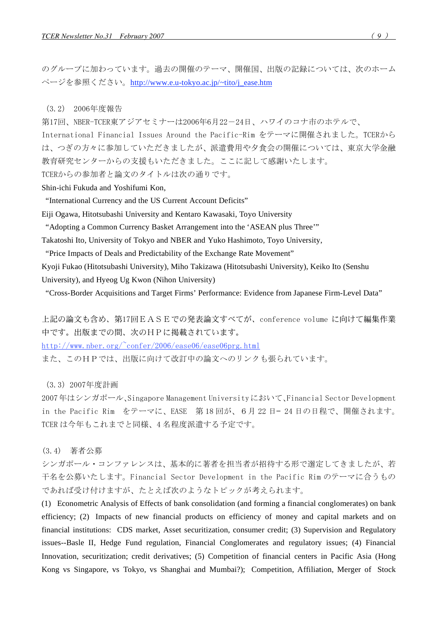のグループに加わっています。過去の開催のテーマ、開催国、出版の記録については、次のホーム ページを参照ください。<u>http://www.e.u-tokyo.ac.jp/~tito/j\_ease.htm</u>

(3.2) 2006年度報告

第17回、NBER-TCER東アジアセミナーは2006年6月22-24日、ハワイのコナ市のホテルで、

International Financial Issues Around the Pacific-Rim をテーマに開催されました。TCERから は、つぎの方々に参加していただきましたが、派遣費用や夕食会の開催については、東京大学金融 教育研究センターからの支援もいただきました。ここに記して感謝いたします。

TCERからの参加者と論文のタイトルは次の通りです。

Shin-ichi Fukuda and Yoshifumi Kon,

"International Currency and the US Current Account Deficits"

Eiji Ogawa, Hitotsubashi University and Kentaro Kawasaki, Toyo University

"Adopting a Common Currency Basket Arrangement into the 'ASEAN plus Three'"

Takatoshi Ito, University of Tokyo and NBER and Yuko Hashimoto, Toyo University,

"Price Impacts of Deals and Predictability of the Exchange Rate Movement"

Kyoji Fukao (Hitotsubashi University), Miho Takizawa (Hitotsubashi University), Keiko Ito (Senshu University), and Hyeog Ug Kwon (Nihon University)

"Cross-Border Acquisitions and Target Firms' Performance: Evidence from Japanese Firm-Level Data"

上記の論文も含め、第17回EASEでの発表論文すべてが、conference volume に向けて編集作業 中です。出版までの間、次のHPに掲載されています。

http://www.nber.org/ $\text{confer}/2006/\text{case06}/\text{case06}$ prg.html

また、このHPでは、出版に向けて改訂中の論文へのリンクも張られています。

(3.3) 2007年度計画

2007年はシンガポール、Singapore Management Universityにおいて、Financial Sector Development in the Pacific Rim をテーマに、EASE 第18回が、6月22日-24日の日程で、開催されます。 TCER は今年もこれまでと同様、4名程度派遣する予定です。

(3.4) 著者公募

シンガポール・コンファレンスは、基本的に著者を担当者が招待する形で選定してきましたが、若 干名を公募いたします。Financial Sector Development in the Pacific Rim のテーマに合うもの であれば受け付けますが、たとえば次のようなトピックが考えられます。

(1) Econometric Analysis of Effects of bank consolidation (and forming a financial conglomerates) on bank efficiency; (2) Impacts of new financial products on efficiency of money and capital markets and on financial institutions: CDS market, Asset securitization, consumer credit; (3) Supervision and Regulatory issues--Basle II, Hedge Fund regulation, Financial Conglomerates and regulatory issues; (4) Financial Innovation, securitization; credit derivatives; (5) Competition of financial centers in Pacific Asia (Hong Kong vs Singapore, vs Tokyo, vs Shanghai and Mumbai?); Competition, Affiliation, Merger of Stock